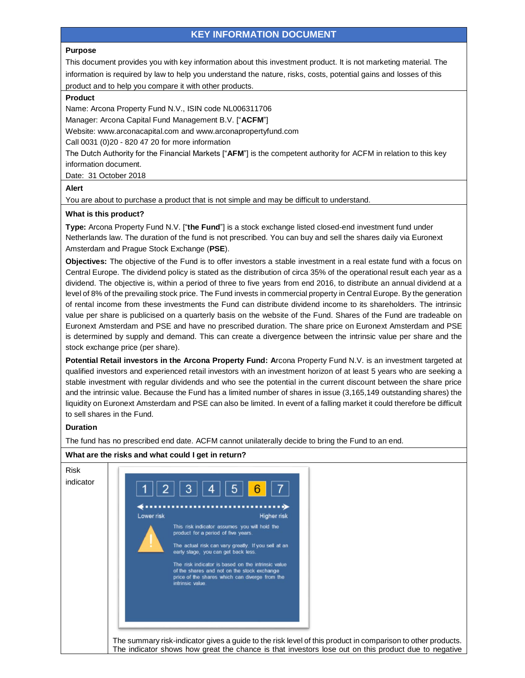# **KEY INFORMATION DOCUMENT**

### **Purpose**

This document provides you with key information about this investment product. It is not marketing material. The information is required by law to help you understand the nature, risks, costs, potential gains and losses of this product and to help you compare it with other products.

#### **Product**

Name: Arcona Property Fund N.V., ISIN code NL006311706

Manager: Arcona Capital Fund Management B.V. ["**ACFM**"]

Website: www.arconacapital.com and www.arconapropertyfund.com

Call 0031 (0)20 - 820 47 20 for more information

The Dutch Authority for the Financial Markets ["**AFM**"] is the competent authority for ACFM in relation to this key information document.

Date: 31 October 2018

## **Alert**

You are about to purchase a product that is not simple and may be difficult to understand.

### **What is this product?**

**Type:** Arcona Property Fund N.V. ["**the Fund**"] is a stock exchange listed closed-end investment fund under Netherlands law. The duration of the fund is not prescribed. You can buy and sell the shares daily via Euronext Amsterdam and Prague Stock Exchange (**PSE**).

**Objectives:** The objective of the Fund is to offer investors a stable investment in a real estate fund with a focus on Central Europe. The dividend policy is stated as the distribution of circa 35% of the operational result each year as a dividend. The objective is, within a period of three to five years from end 2016, to distribute an annual dividend at a level of 8% of the prevailing stock price. The Fund invests in commercial property in Central Europe. By the generation of rental income from these investments the Fund can distribute dividend income to its shareholders. The intrinsic value per share is publicised on a quarterly basis on the website of the Fund. Shares of the Fund are tradeable on Euronext Amsterdam and PSE and have no prescribed duration. The share price on Euronext Amsterdam and PSE is determined by supply and demand. This can create a divergence between the intrinsic value per share and the stock exchange price (per share).

**Potential Retail investors in the Arcona Property Fund: A**rcona Property Fund N.V. is an investment targeted at qualified investors and experienced retail investors with an investment horizon of at least 5 years who are seeking a stable investment with regular dividends and who see the potential in the current discount between the share price and the intrinsic value. Because the Fund has a limited number of shares in issue (3,165,149 outstanding shares) the liquidity on Euronext Amsterdam and PSE can also be limited. In event of a falling market it could therefore be difficult to sell shares in the Fund.

## **Duration**

The fund has no prescribed end date. ACFM cannot unilaterally decide to bring the Fund to an end.

# Risk indicator 2 3  $\overline{4}$ 5 6 Lower risk **Higher** risk This risk indicator assumes you will hold the product for a period of five years The actual risk can vary greatly. If you sell at an<br>early stage, you can get back less. The risk indicator is based on the intrinsic value of the shares and not on the stock exchange<br>price of the shares which can diverge from the intrinsic value The summary risk-indicator gives a guide to the risk level of this product in comparison to other products. The indicator shows how great the chance is that investors lose out on this product due to negative

# **What are the risks and what could I get in return?**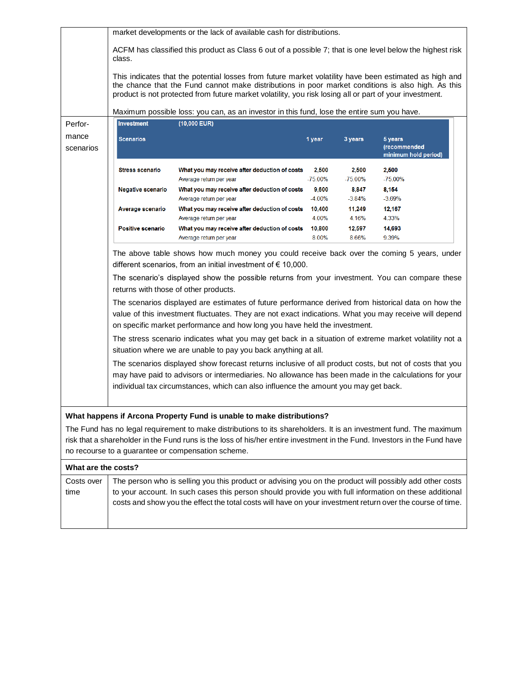|                     | market developments or the lack of available cash for distributions.                                                                                                                                                                                                                                                                                                                                                                                                                                                                                                                                                                                                                                                                                                                                                                                                                                                      |                                                                                                                                                                                                                                                                                                                                                                                |                     |                     |                                                 |  |  |  |  |
|---------------------|---------------------------------------------------------------------------------------------------------------------------------------------------------------------------------------------------------------------------------------------------------------------------------------------------------------------------------------------------------------------------------------------------------------------------------------------------------------------------------------------------------------------------------------------------------------------------------------------------------------------------------------------------------------------------------------------------------------------------------------------------------------------------------------------------------------------------------------------------------------------------------------------------------------------------|--------------------------------------------------------------------------------------------------------------------------------------------------------------------------------------------------------------------------------------------------------------------------------------------------------------------------------------------------------------------------------|---------------------|---------------------|-------------------------------------------------|--|--|--|--|
|                     | ACFM has classified this product as Class 6 out of a possible 7; that is one level below the highest risk<br>class.<br>This indicates that the potential losses from future market volatility have been estimated as high and<br>the chance that the Fund cannot make distributions in poor market conditions is also high. As this<br>product is not protected from future market volatility, you risk losing all or part of your investment.                                                                                                                                                                                                                                                                                                                                                                                                                                                                            |                                                                                                                                                                                                                                                                                                                                                                                |                     |                     |                                                 |  |  |  |  |
|                     |                                                                                                                                                                                                                                                                                                                                                                                                                                                                                                                                                                                                                                                                                                                                                                                                                                                                                                                           |                                                                                                                                                                                                                                                                                                                                                                                |                     |                     |                                                 |  |  |  |  |
|                     | Maximum possible loss: you can, as an investor in this fund, lose the entire sum you have.                                                                                                                                                                                                                                                                                                                                                                                                                                                                                                                                                                                                                                                                                                                                                                                                                                |                                                                                                                                                                                                                                                                                                                                                                                |                     |                     |                                                 |  |  |  |  |
| Perfor-             | <b>Investment</b>                                                                                                                                                                                                                                                                                                                                                                                                                                                                                                                                                                                                                                                                                                                                                                                                                                                                                                         | $(10,000$ EUR)                                                                                                                                                                                                                                                                                                                                                                 |                     |                     |                                                 |  |  |  |  |
| mance<br>scenarios  | <b>Scenarios</b>                                                                                                                                                                                                                                                                                                                                                                                                                                                                                                                                                                                                                                                                                                                                                                                                                                                                                                          |                                                                                                                                                                                                                                                                                                                                                                                | 1 year              | 3 years             | 5 years<br>(recommended<br>minimum hold period) |  |  |  |  |
|                     | <b>Stress scenario</b>                                                                                                                                                                                                                                                                                                                                                                                                                                                                                                                                                                                                                                                                                                                                                                                                                                                                                                    | What you may receive after deduction of costs<br>Average return per year                                                                                                                                                                                                                                                                                                       | 2,500<br>$-75.00\%$ | 2,500<br>$-75.00\%$ | 2,500<br>$-75.00\%$                             |  |  |  |  |
|                     | Negative scenario                                                                                                                                                                                                                                                                                                                                                                                                                                                                                                                                                                                                                                                                                                                                                                                                                                                                                                         | What you may receive after deduction of costs                                                                                                                                                                                                                                                                                                                                  | 9,600               | 8,847               | 8,154                                           |  |  |  |  |
|                     |                                                                                                                                                                                                                                                                                                                                                                                                                                                                                                                                                                                                                                                                                                                                                                                                                                                                                                                           | Average return per year                                                                                                                                                                                                                                                                                                                                                        | $-4.00\%$           | $-3.84%$            | $-3.69%$                                        |  |  |  |  |
|                     | Average scenario                                                                                                                                                                                                                                                                                                                                                                                                                                                                                                                                                                                                                                                                                                                                                                                                                                                                                                          | What you may receive after deduction of costs                                                                                                                                                                                                                                                                                                                                  | 10,400              | 11,249              | 12,167                                          |  |  |  |  |
|                     |                                                                                                                                                                                                                                                                                                                                                                                                                                                                                                                                                                                                                                                                                                                                                                                                                                                                                                                           | Average return per year                                                                                                                                                                                                                                                                                                                                                        | 4.00%               | 4.16%               | 4.33%                                           |  |  |  |  |
|                     | Positive scenario                                                                                                                                                                                                                                                                                                                                                                                                                                                                                                                                                                                                                                                                                                                                                                                                                                                                                                         | What you may receive after deduction of costs                                                                                                                                                                                                                                                                                                                                  | 10,800              | 12,597              | 14,693                                          |  |  |  |  |
|                     |                                                                                                                                                                                                                                                                                                                                                                                                                                                                                                                                                                                                                                                                                                                                                                                                                                                                                                                           | Average return per year                                                                                                                                                                                                                                                                                                                                                        | 8.00%               | 8.66%               | 9.39%                                           |  |  |  |  |
|                     | The scenario's displayed show the possible returns from your investment. You can compare these<br>returns with those of other products.<br>The scenarios displayed are estimates of future performance derived from historical data on how the<br>value of this investment fluctuates. They are not exact indications. What you may receive will depend<br>on specific market performance and how long you have held the investment.<br>The stress scenario indicates what you may get back in a situation of extreme market volatility not a<br>situation where we are unable to pay you back anything at all.<br>The scenarios displayed show forecast returns inclusive of all product costs, but not of costs that you<br>may have paid to advisors or intermediaries. No allowance has been made in the calculations for your<br>individual tax circumstances, which can also influence the amount you may get back. |                                                                                                                                                                                                                                                                                                                                                                                |                     |                     |                                                 |  |  |  |  |
|                     |                                                                                                                                                                                                                                                                                                                                                                                                                                                                                                                                                                                                                                                                                                                                                                                                                                                                                                                           | What happens if Arcona Property Fund is unable to make distributions?<br>The Fund has no legal requirement to make distributions to its shareholders. It is an investment fund. The maximum<br>risk that a shareholder in the Fund runs is the loss of his/her entire investment in the Fund. Investors in the Fund have<br>no recourse to a guarantee or compensation scheme. |                     |                     |                                                 |  |  |  |  |
| What are the costs? |                                                                                                                                                                                                                                                                                                                                                                                                                                                                                                                                                                                                                                                                                                                                                                                                                                                                                                                           |                                                                                                                                                                                                                                                                                                                                                                                |                     |                     |                                                 |  |  |  |  |
| Costs over          |                                                                                                                                                                                                                                                                                                                                                                                                                                                                                                                                                                                                                                                                                                                                                                                                                                                                                                                           |                                                                                                                                                                                                                                                                                                                                                                                |                     |                     |                                                 |  |  |  |  |
| time                | The person who is selling you this product or advising you on the product will possibly add other costs<br>to your account. In such cases this person should provide you with full information on these additional<br>costs and show you the effect the total costs will have on your investment return over the course of time.                                                                                                                                                                                                                                                                                                                                                                                                                                                                                                                                                                                          |                                                                                                                                                                                                                                                                                                                                                                                |                     |                     |                                                 |  |  |  |  |